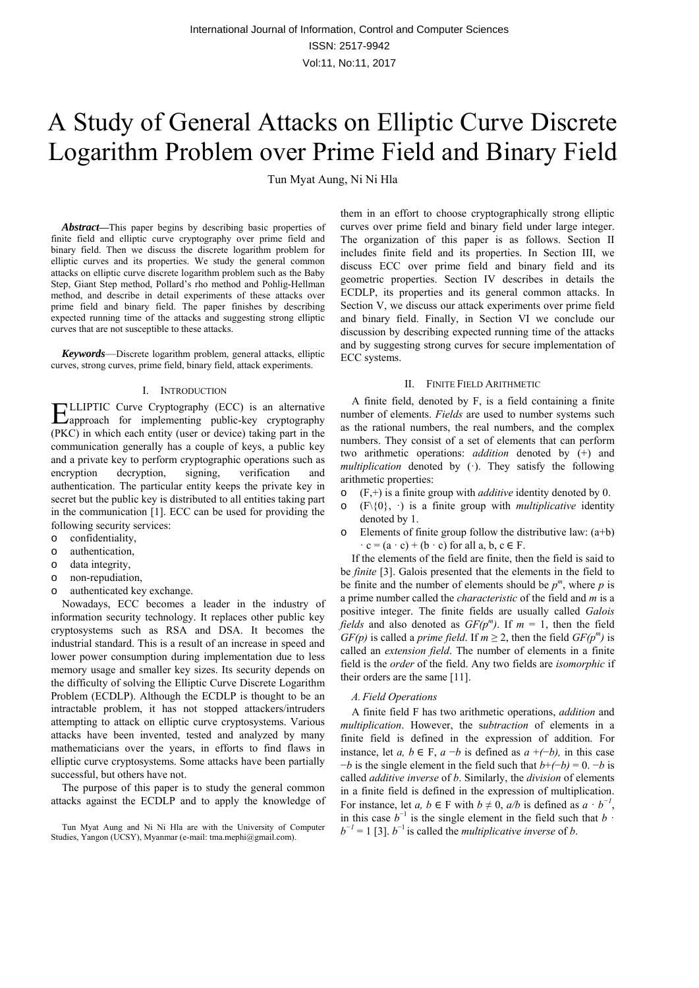# A Study of General Attacks on Elliptic Curve Discrete Logarithm Problem over Prime Field and Binary Field

Tun Myat Aung, Ni Ni Hla

*Abstract***—**This paper begins by describing basic properties of finite field and elliptic curve cryptography over prime field and binary field. Then we discuss the discrete logarithm problem for elliptic curves and its properties. We study the general common attacks on elliptic curve discrete logarithm problem such as the Baby Step, Giant Step method, Pollard's rho method and Pohlig-Hellman method, and describe in detail experiments of these attacks over prime field and binary field. The paper finishes by describing expected running time of the attacks and suggesting strong elliptic curves that are not susceptible to these attacks.

*Keywords*—Discrete logarithm problem, general attacks, elliptic curves, strong curves, prime field, binary field, attack experiments.

#### I. INTRODUCTION

LLIPTIC Curve Cryptography (ECC) is an alternative ELLIPTIC Curve Cryptography (ECC) is an alternative capproach for implementing public-key cryptography (PKC) in which each entity (user or device) taking part in the communication generally has a couple of keys, a public key and a private key to perform cryptographic operations such as encryption decryption, signing, verification and authentication. The particular entity keeps the private key in secret but the public key is distributed to all entities taking part in the communication [1]. ECC can be used for providing the following security services:

- o confidentiality,
- o authentication,
- o data integrity,
- o non-repudiation,
- o authenticated key exchange.

Nowadays, ECC becomes a leader in the industry of information security technology. It replaces other public key cryptosystems such as RSA and DSA. It becomes the industrial standard. This is a result of an increase in speed and lower power consumption during implementation due to less memory usage and smaller key sizes. Its security depends on the difficulty of solving the Elliptic Curve Discrete Logarithm Problem (ECDLP). Although the ECDLP is thought to be an intractable problem, it has not stopped attackers/intruders attempting to attack on elliptic curve cryptosystems. Various attacks have been invented, tested and analyzed by many mathematicians over the years, in efforts to find flaws in elliptic curve cryptosystems. Some attacks have been partially successful, but others have not.

The purpose of this paper is to study the general common attacks against the ECDLP and to apply the knowledge of them in an effort to choose cryptographically strong elliptic curves over prime field and binary field under large integer. The organization of this paper is as follows. Section II includes finite field and its properties. In Section III, we discuss ECC over prime field and binary field and its geometric properties. Section IV describes in details the ECDLP, its properties and its general common attacks. In Section V, we discuss our attack experiments over prime field and binary field. Finally, in Section VI we conclude our discussion by describing expected running time of the attacks and by suggesting strong curves for secure implementation of ECC systems.

#### II. FINITE FIELD ARITHMETIC

A finite field, denoted by F, is a field containing a finite number of elements. *Fields* are used to number systems such as the rational numbers, the real numbers, and the complex numbers. They consist of a set of elements that can perform two arithmetic operations: *addition* denoted by (+) and *multiplication* denoted by (·). They satisfy the following arithmetic properties:

- $(F,+)$  is a finite group with *additive* identity denoted by 0.
- $(F\setminus\{0\}, \cdot)$  is a finite group with *multiplicative* identity denoted by 1.
- $\circ$  Elements of finite group follow the distributive law:  $(a+b)$  $\cdot$  c = (a  $\cdot$  c) + (b  $\cdot$  c) for all a, b, c  $\in$  F.

If the elements of the field are finite, then the field is said to be *finite* [3]. Galois presented that the elements in the field to be finite and the number of elements should be  $p^m$ , where  $p$  is a prime number called the *characteristic* of the field and *m* is a positive integer. The finite fields are usually called *Galois fields* and also denoted as  $GF(p^m)$ . If  $m = 1$ , then the field *GF(p)* is called a *prime field*. If  $m \geq 2$ , then the field *GF(p<sup>m</sup>)* is called an *extension field*. The number of elements in a finite field is the *order* of the field. Any two fields are *isomorphic* if their orders are the same [11].

#### *A.Field Operations*

A finite field F has two arithmetic operations, *addition* and *multiplication*. However, the s*ubtraction* of elements in a finite field is defined in the expression of addition. For instance, let *a, b* ∈ F, *a* −*b* is defined as *a* +*(*−*b),* in this case −*b* is the single element in the field such that *b*+*(*−*b)* = 0. −*b* is called *additive inverse* of *b*. Similarly, the *division* of elements in a finite field is defined in the expression of multiplication. For instance, let *a*, *b* ∈ F with *b*  $\neq$  0, *a/b* is defined as  $a \cdot b^{-1}$ , in this case  $b^{-1}$  is the single element in the field such that  $b \cdot b$  $b^{-1} = 1$  [3].  $b^{-1}$  is called the *multiplicative inverse* of *b*.

Tun Myat Aung and Ni Ni Hla are with the University of Computer Studies, Yangon (UCSY), Myanmar (e-mail: tma.mephi@gmail.com).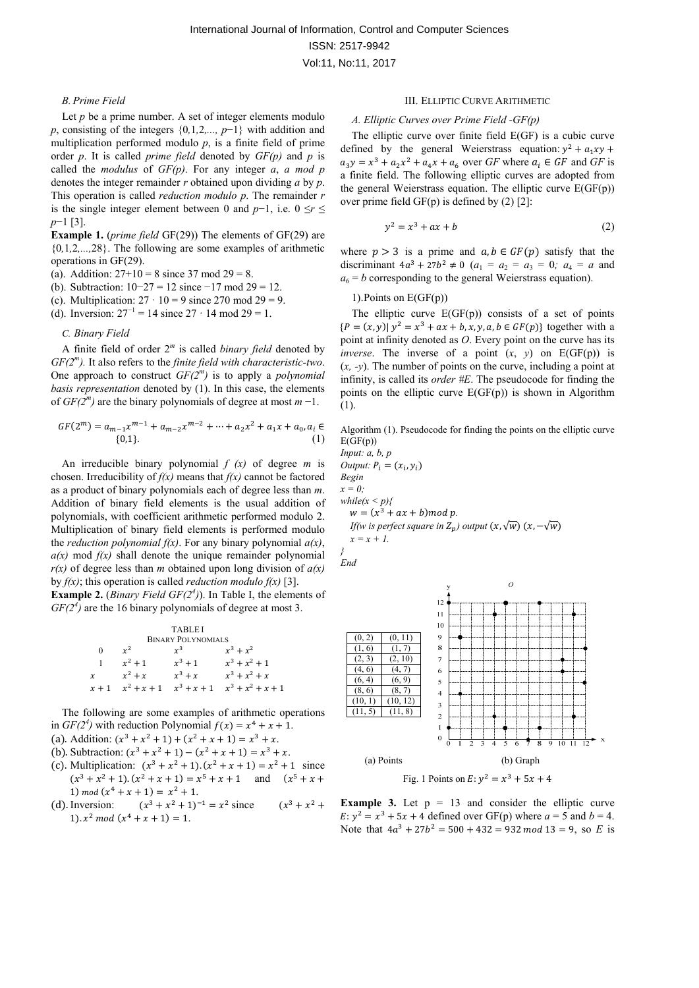#### *B.Prime Field*

Let *p* be a prime number. A set of integer elements modulo *p*, consisting of the integers {0*,*1*,*2*,..., p*−1} with addition and multiplication performed modulo *p*, is a finite field of prime order *p*. It is called *prime field* denoted by  $GF(p)$  and *p* is called the *modulus* of *GF(p)*. For any integer *a*, *a mod p*  denotes the integer remainder *r* obtained upon dividing *a* by *p*. This operation is called *reduction modulo p*. The remainder *r* is the single integer element between 0 and *p*−1, i.e. 0 ≤*r* ≤ *p*−1 [3].

**Example 1.** (*prime field* GF(29)) The elements of GF(29) are {0*,*1*,*2*,...,*28}. The following are some examples of arithmetic operations in GF(29).

(a). Addition:  $27+10 = 8$  since 37 mod  $29 = 8$ .

(b). Subtraction: 10−27 = 12 since −17 mod 29 = 12.

(c). Multiplication:  $27 \cdot 10 = 9$  since 270 mod 29 = 9.

(d). Inversion:  $27^{-1} = 14$  since  $27 \cdot 14$  mod  $29 = 1$ .

#### *C. Binary Field*

A finite field of order 2*<sup>m</sup>* is called *binary field* denoted by *GF(2m).* It also refers to the *finite field with characteristic-two*. One approach to construct *GF(2m)* is to apply a *polynomial basis representation* denoted by (1). In this case, the elements of *GF(2m)* are the binary polynomials of degree at most *m* −1.

$$
GF(2m) = am-1xm-1 + am-2xm-2 + \dots + a2x2 + a1x + a0, ai \in
$$
  
{0,1}. (1)

An irreducible binary polynomial *f (x)* of degree *m* is chosen. Irreducibility of  $f(x)$  means that  $f(x)$  cannot be factored as a product of binary polynomials each of degree less than *m*. Addition of binary field elements is the usual addition of polynomials, with coefficient arithmetic performed modulo 2. Multiplication of binary field elements is performed modulo the *reduction polynomial f(x)*. For any binary polynomial *a(x)*,  $a(x)$  mod  $f(x)$  shall denote the unique remainder polynomial *r(x)* of degree less than *m* obtained upon long division of *a(x)*  by *f(x)*; this operation is called *reduction modulo f(x)* [3].

**Example 2.** (*Binary Field GF(2<sup>4</sup>)*). In Table I, the elements of  $GF(2<sup>4</sup>)$  are the 16 binary polynomials of degree at most 3.

| <b>TABLEI</b>             |               |               |                     |  |  |
|---------------------------|---------------|---------------|---------------------|--|--|
| <b>BINARY POLYNOMIALS</b> |               |               |                     |  |  |
| 0                         | $r^2$         | $r^3$         | $x^3 + x^2$         |  |  |
|                           | $x^2 + 1$     | $x^3 + 1$     | $x^3 + x^2 + 1$     |  |  |
| $\chi$                    | $x^2 + x$     | $x^3 + x$     | $x^3 + x^2 + x$     |  |  |
| $x + 1$                   | $x^2 + x + 1$ | $x^3 + x + 1$ | $x^3 + x^2 + x + 1$ |  |  |

The following are some examples of arithmetic operations in  $GF(2^4)$  with reduction Polynomial  $f(x) = x^4 + x + 1$ .

- (a). Addition:  $(x^3 + x^2 + 1) + (x^2 + x + 1) = x^3 + x$ .
- (b). Subtraction:  $(x^3 + x^2 + 1) (x^2 + x + 1) = x^3 + x$ .
- (c). Multiplication:  $(x^3 + x^2 + 1) \cdot (x^2 + x + 1) = x^2 + 1$  since  $(x^{3} + x^{2} + 1) \cdot (x^{2} + x + 1) = x^{5} + x + 1$  and  $(x^{5} + x +$ 1) mod  $(x^4 + x + 1) = x^2 + 1$ .
- (d). Inversion:  $(x^3 + x^2 + 1)^{-1} = x^2$  since  $(x^3 + x^2 + 1)^{-1} = x^2$ 1).  $x^2 \mod (x^4 + x + 1) = 1$ .

#### III. ELLIPTIC CURVE ARITHMETIC

#### *A. Elliptic Curves over Prime Field -GF(p)*

The elliptic curve over finite field E(GF) is a cubic curve defined by the general Weierstrass equation:  $y^2 + a_1xy$  +  $a_3y = x^3 + a_2x^2 + a_4x + a_6$  over *GF* where  $a_i \in GF$  and *GF* is a finite field. The following elliptic curves are adopted from the general Weierstrass equation. The elliptic curve  $E(GF(p))$ over prime field  $GF(p)$  is defined by  $(2)$  [2]:

$$
y^2 = x^3 + ax + b \tag{2}
$$

where  $p > 3$  is a prime and  $a, b \in GF(p)$  satisfy that the discriminant  $4a^3 + 27b^2 \neq 0$  ( $a_1 = a_2 = a_3 = 0$ ;  $a_4 = a$  and  $a_6 = b$  corresponding to the general Weierstrass equation).

#### 1).Points on E(GF(p))

The elliptic curve  $E(GF(p))$  consists of a set of points  ${P = (x, y) | y^2 = x^3 + ax + b, x, y, a, b \in GF(p)}$  together with a point at infinity denoted as *O*. Every point on the curve has its *inverse*. The inverse of a point  $(x, y)$  on  $E(GF(p))$  is (*x, -y*). The number of points on the curve, including a point at infinity, is called its *order #E*. The pseudocode for finding the points on the elliptic curve  $E(GF(p))$  is shown in Algorithm (1).

Algorithm (1). Pseudocode for finding the points on the elliptic curve  $E(GF(p))$ 

*Input: a, b, p*   $Output: P_i = (x_i, y_i)$ *Begin*   $x = 0$ : *while(x < p){*   $w = (x^3 + ax + b) \mod p$ . *If*(w is perfect square in  $Z_n$ ) output  $(x, \sqrt{w})$   $(x, -\sqrt{w})$  $x = x + 1.$ 







**Example 3.** Let  $p = 13$  and consider the elliptic curve  $E: y^2 = x^3 + 5x + 4$  defined over GF(p) where  $a = 5$  and  $b = 4$ . Note that  $4a^3 + 27b^2 = 500 + 432 = 932 \text{ mod } 13 = 9$ , so *E* is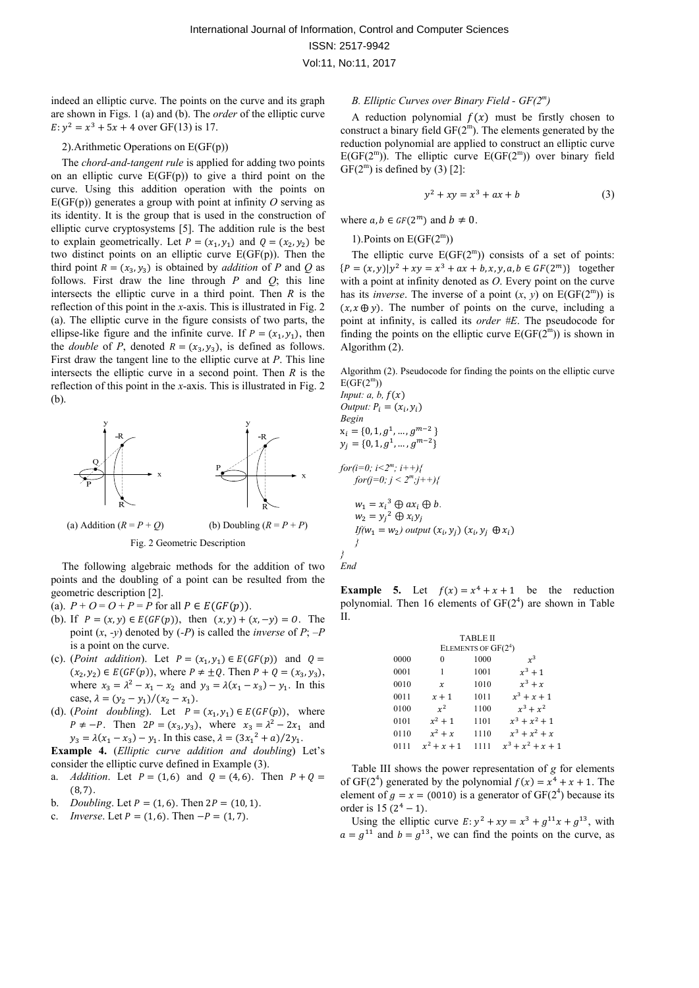indeed an elliptic curve. The points on the curve and its graph are shown in Figs. 1 (a) and (b). The *order* of the elliptic curve  $E: y^2 = x^3 + 5x + 4$  over GF(13) is 17.

## 2).Arithmetic Operations on E(GF(p))

The *chord-and-tangent rule* is applied for adding two points on an elliptic curve  $E(GF(p))$  to give a third point on the curve. Using this addition operation with the points on  $E(GF(p))$  generates a group with point at infinity O serving as its identity. It is the group that is used in the construction of elliptic curve cryptosystems [5]. The addition rule is the best to explain geometrically. Let  $P = (x_1, y_1)$  and  $Q = (x_2, y_2)$  be two distinct points on an elliptic curve  $E(GF(p))$ . Then the third point  $R = (x_3, y_3)$  is obtained by *addition* of *P* and *Q* as follows. First draw the line through *P* and *Q*; this line intersects the elliptic curve in a third point. Then *R* is the reflection of this point in the *x*-axis. This is illustrated in Fig. 2 (a). The elliptic curve in the figure consists of two parts, the ellipse-like figure and the infinite curve. If  $P = (x_1, y_1)$ , then the *double* of *P*, denoted  $R = (x_3, y_3)$ , is defined as follows. First draw the tangent line to the elliptic curve at *P*. This line intersects the elliptic curve in a second point. Then *R* is the reflection of this point in the *x*-axis. This is illustrated in Fig. 2 (b).



(a) Addition  $(R = P + Q)$  (b) Doubling  $(R = P + P)$ Fig. 2 Geometric Description

The following algebraic methods for the addition of two points and the doubling of a point can be resulted from the geometric description [2].

- (a).  $P + O = O + P = P$  for all  $P \in E(GF(p)).$
- (b). If  $P = (x, y) \in E(GF(p))$ , then  $(x, y) + (x, -y) = 0$ . The point (*x*, *-y*) denoted by (*-P*) is called the *inverse* of *P*; *–P* is a point on the curve.
- (c). (*Point addition*). Let  $P = (x_1, y_1) \in E(GF(p))$  and  $Q =$  $(x_2, y_2) \in E(GF(p))$ , where  $P \neq \pm Q$ . Then  $P + Q = (x_3, y_3)$ , where  $x_3 = \lambda^2 - x_1 - x_2$  and  $y_3 = \lambda(x_1 - x_3) - y_1$ . In this case,  $\lambda = (y_2 - y_1)/(x_2 - x_1)$ .
- (d). (*Point doubling*). Let  $P = (x_1, y_1) \in E(GF(p))$ , where  $P \neq -P$ . Then  $2P = (x_3, y_3)$ , where  $x_3 = \lambda^2 - 2x_1$  and  $y_3 = \lambda(x_1 - x_3) - y_1$ . In this case,  $\lambda = (3x_1^2 + a)/2y_1$ .

**Example 4.** (*Elliptic curve addition and doubling*) Let's consider the elliptic curve defined in Example (3).

- a. *Addition*. Let  $P = (1, 6)$  and  $Q = (4, 6)$ . Then  $P + Q =$  $(8, 7).$
- b. *Doubling*. Let  $P = (1, 6)$ . Then  $2P = (10, 1)$ .
- c. *Inverse*. Let  $P = (1, 6)$ . Then  $-P = (1, 7)$ .

#### *B. Elliptic Curves over Binary Field - GF(2m)*

A reduction polynomial  $f(x)$  must be firstly chosen to construct a binary field  $GF(2<sup>m</sup>)$ . The elements generated by the reduction polynomial are applied to construct an elliptic curve  $E(GF(2<sup>m</sup>))$ . The elliptic curve  $E(GF(2<sup>m</sup>))$  over binary field  $GF(2^m)$  is defined by (3) [2]:

$$
y^2 + xy = x^3 + ax + b \tag{3}
$$

where  $a, b \in GF(2^m)$  and  $b \neq 0$ .

1). Points on  $E(GF(2<sup>m</sup>))$ 

The elliptic curve  $E(GF(2<sup>m</sup>))$  consists of a set of points:  ${P = (x, y)|y^2 + xy = x^3 + ax + b, x, y, a, b \in GF(2^m)}$  together with a point at infinity denoted as *O*. Every point on the curve has its *inverse*. The inverse of a point  $(x, y)$  on  $E(GF(2<sup>m</sup>))$  is  $(x, x \oplus y)$ . The number of points on the curve, including a point at infinity, is called its *order #E*. The pseudocode for finding the points on the elliptic curve  $E(GF(2<sup>m</sup>))$  is shown in Algorithm (2).

Algorithm (2). Pseudocode for finding the points on the elliptic curve  $E(GF(2<sup>m</sup>))$ 

*Input: a, b,*  $f(x)$ *Output:*  $P_i = (x_i, y_i)$ *Begin*   $\mathbf{x}_i = \{0, 1, g^1, \dots, g^{m-2}\}$  $y_j = \{0, 1, g^1, ..., g^{m-2}\}\$ *for*(*i*=0; *i* <2<sup>m</sup>; *i* + +){  $for(j=0; j < 2^m, j++)$ {  $w_1 = x_i^3 \oplus ax_i \oplus b.$  $w_2 = y_i^2 \oplus x_i y_j$  $If(w_1 = w_2)$  *output*  $(x_i, y_j)$   $(x_i, y_j \oplus x_i)$ *} }* 

*End* 

**Example 5.** Let  $f(x) = x^4 + x + 1$  be the reduction polynomial. Then 16 elements of  $GF(2<sup>4</sup>)$  are shown in Table II.

|      |               | <b>TABLE II</b>       |                     |
|------|---------------|-----------------------|---------------------|
|      |               | ELEMENTS OF $GF(2^4)$ |                     |
| 0000 | $\theta$      | 1000                  | $x^3$               |
| 0001 | 1             | 1001                  | $x^3 + 1$           |
| 0010 | $\chi$        | 1010                  | $x^3 + x$           |
| 0011 | $x + 1$       | 1011                  | $x^3 + x + 1$       |
| 0100 | $x^2$         | 1100                  | $x^3 + x^2$         |
| 0101 | $x^2 + 1$     | 1101                  | $x^3 + x^2 + 1$     |
| 0110 | $x^2 + x$     | 1110                  | $x^3 + x^2 + x$     |
| 0111 | $x^2 + x + 1$ | 1111                  | $x^3 + x^2 + x + 1$ |

Table III shows the power representation of *g* for elements of GF(2<sup>4</sup>) generated by the polynomial  $f(x) = x^4 + x + 1$ . The element of  $g = x = (0010)$  is a generator of GF(2<sup>4</sup>) because its order is  $15(2^4 - 1)$ .

Using the elliptic curve  $E: y^2 + xy = x^3 + g^{11}x + g^{13}$ , with  $a = g^{11}$  and  $b = g^{13}$ , we can find the points on the curve, as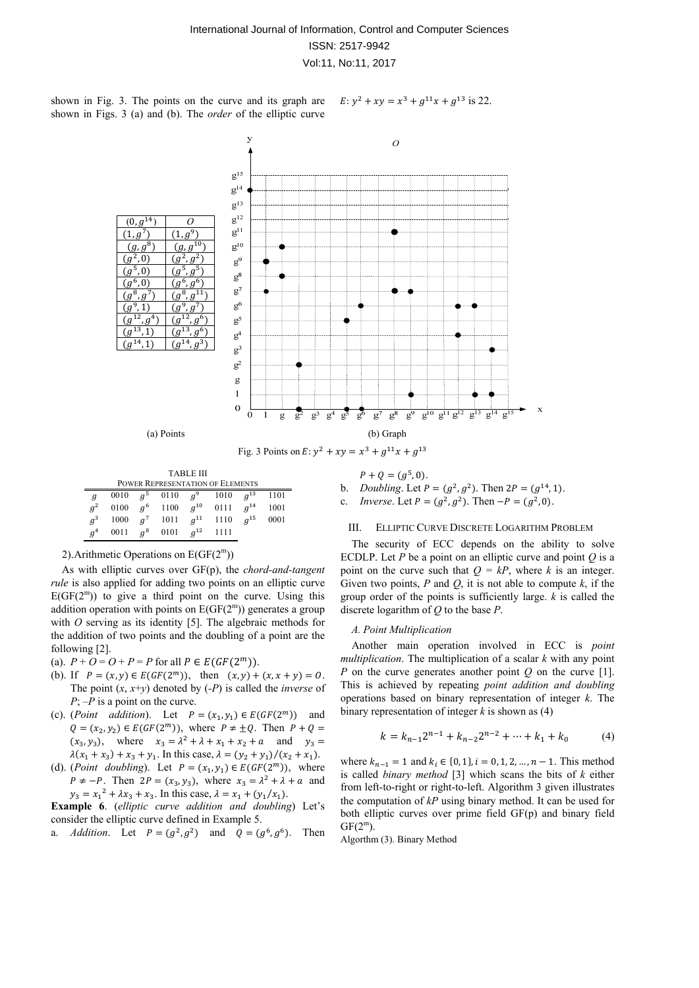shown in Fig. 3. The points on the curve and its graph are shown in Figs. 3 (a) and (b). The *order* of the elliptic curve

 $E: y^2 + xy = x^3 + g^{11}x + g^{13}$  is 22.



| <b>TABLE III</b>                 |      |       |            |          |      |          |      |
|----------------------------------|------|-------|------------|----------|------|----------|------|
| POWER REPRESENTATION OF ELEMENTS |      |       |            |          |      |          |      |
| $\mathfrak{g}$                   | 0010 | $a^5$ | 0110       | $q^9$    | 1010 | $a^{13}$ | 1101 |
| $q^2$                            | 0100 |       | $q^6$ 1100 | $a^{10}$ | 0111 | $a^{14}$ | 1001 |
| $q^3$                            | 1000 | $a^7$ | 1011       | $q^{11}$ | 1110 | $a^{15}$ | 0001 |
| g <sup>4</sup>                   | 0011 | $q^8$ | 0101       | $a^{12}$ | 1111 |          |      |

2). Arithmetic Operations on  $E(GF(2<sup>m</sup>))$ 

As with elliptic curves over GF(p), the *chord-and-tangent rule* is also applied for adding two points on an elliptic curve  $E(GF(2<sup>m</sup>))$  to give a third point on the curve. Using this addition operation with points on  $E(GF(2<sup>m</sup>))$  generates a group with *O* serving as its identity [5]. The algebraic methods for the addition of two points and the doubling of a point are the following [2].

(a).  $P + Q = Q + P = P$  for all  $P \in E(GF(2^m))$ .

- (b). If  $P = (x, y) \in E(GF(2^m))$ , then  $(x, y) + (x, x + y) = 0$ . The point (*x*, *x*+*y*) denoted by (*-P*) is called the *inverse* of *P*; *–P* is a point on the curve.
- (c). (*Point addition*). Let  $P = (x_1, y_1) \in E(GF(2^m))$  and  $Q = (x_2, y_2) \in E(GF(2^m))$ , where  $P \neq \pm Q$ . Then  $P + Q =$  $(x_3, y_3)$ , where  $x_3 = \lambda^2 + \lambda + x_1 + x_2 + a$  and  $y_3 =$  $\lambda(x_1 + x_3) + x_3 + y_1$ . In this case,  $\lambda = (y_2 + y_1)/(x_2 + x_1)$ .
- (d). (*Point doubling*). Let  $P = (x_1, y_1) \in E(GF(2^m))$ , where  $P \neq -P$ . Then  $2P = (x_3, y_3)$ , where  $x_3 = \lambda^2 + \lambda + a$  and  $y_3 = x_1^2 + \lambda x_3 + x_3$ . In this case,  $\lambda = x_1 + (y_1/x_1)$ .

**Example 6**. (*elliptic curve addition and doubling*) Let's consider the elliptic curve defined in Example 5.

a. *Addition*. Let  $P = (g^2, g^2)$  and  $Q = (g^6, g^6)$ . Then

 $P + Q = (g^5, 0).$ b. *Doubling*. Let  $P = (g^2, g^2)$ . Then  $2P = (g^{14}, 1)$ . c. *Inverse*. Let  $P = (g^2, g^2)$ . Then  $-P = (g^2, 0)$ .

#### III. ELLIPTIC CURVE DISCRETE LOGARITHM PROBLEM

The security of ECC depends on the ability to solve ECDLP. Let  $P$  be a point on an elliptic curve and point  $Q$  is a point on the curve such that  $Q = kP$ , where *k* is an integer. Given two points,  $P$  and  $Q$ , it is not able to compute  $k$ , if the group order of the points is sufficiently large. *k* is called the discrete logarithm of *Q* to the base *P*.

#### *A. Point Multiplication*

Another main operation involved in ECC is *point multiplication*. The multiplication of a scalar *k* with any point *P* on the curve generates another point *Q* on the curve [1]. This is achieved by repeating *point addition and doubling* operations based on binary representation of integer *k*. The binary representation of integer *k* is shown as (4)

$$
k = k_{n-1}2^{n-1} + k_{n-2}2^{n-2} + \dots + k_1 + k_0 \tag{4}
$$

where  $k_{n-1} = 1$  and  $k_i \in \{0, 1\}, i = 0, 1, 2, ..., n - 1$ . This method is called *binary method* [3] which scans the bits of *k* either from left-to-right or right-to-left. Algorithm 3 given illustrates the computation of *kP* using binary method. It can be used for both elliptic curves over prime field GF(p) and binary field  $GF(2^m)$ .

Algorthm (3). Binary Method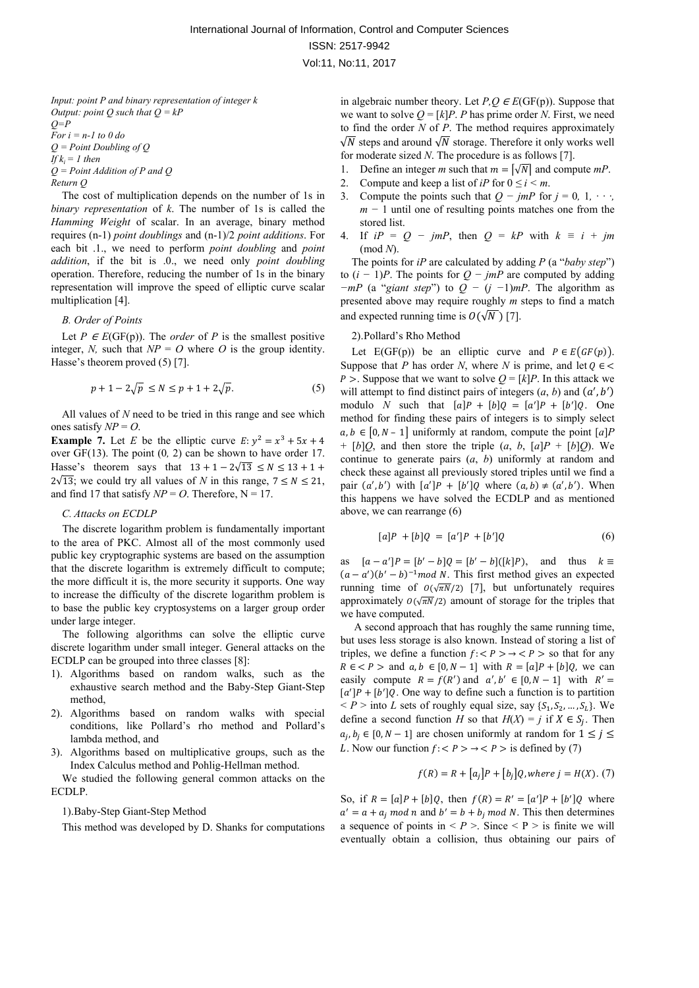*Input: point P and binary representation of integer k Output: point Q such that Q = kP Q=P For i = n-1 to 0 do Q = Point Doubling of Q If*  $k_i = 1$  *then Q = Point Addition of P and Q Return Q* 

The cost of multiplication depends on the number of 1s in *binary representation* of *k*. The number of 1s is called the *Hamming Weight* of scalar. In an average, binary method requires (n-1) *point doublings* and (n-1)/2 *point additions*. For each bit .1., we need to perform *point doubling* and *point addition*, if the bit is .0., we need only *point doubling* operation. Therefore, reducing the number of 1s in the binary representation will improve the speed of elliptic curve scalar multiplication [4].

#### *B. Order of Points*

Let  $P \in E(\text{GF}(p))$ . The *order* of *P* is the smallest positive integer, *N*, such that  $NP = O$  where *O* is the group identity. Hasse's theorem proved (5) [7].

$$
p + 1 - 2\sqrt{p} \le N \le p + 1 + 2\sqrt{p}.\tag{5}
$$

All values of *N* need to be tried in this range and see which ones satisfy  $NP = O$ .

**Example 7.** Let *E* be the elliptic curve  $E: y^2 = x^3 + 5x + 4$ over GF(13). The point (0*,* 2) can be shown to have order 17. Hasse's theorem says that  $13 + 1 - 2\sqrt{13} \le N \le 13 + 1 +$  $2\sqrt{13}$ ; we could try all values of *N* in this range,  $7 \leq N \leq 21$ , and find 17 that satisfy  $NP = O$ . Therefore,  $N = 17$ .

#### *C. Attacks on ECDLP*

The discrete logarithm problem is fundamentally important to the area of PKC. Almost all of the most commonly used public key cryptographic systems are based on the assumption that the discrete logarithm is extremely difficult to compute; the more difficult it is, the more security it supports. One way to increase the difficulty of the discrete logarithm problem is to base the public key cryptosystems on a larger group order under large integer.

The following algorithms can solve the elliptic curve discrete logarithm under small integer. General attacks on the ECDLP can be grouped into three classes [8]:

- 1). Algorithms based on random walks, such as the exhaustive search method and the Baby-Step Giant-Step method,
- 2). Algorithms based on random walks with special conditions, like Pollard's rho method and Pollard's lambda method, and
- 3). Algorithms based on multiplicative groups, such as the Index Calculus method and Pohlig-Hellman method.

We studied the following general common attacks on the ECDLP.

1).Baby-Step Giant-Step Method

This method was developed by D. Shanks for computations

in algebraic number theory. Let  $P.O \in E(GF(p))$ . Suppose that we want to solve  $Q = [k]P$ . *P* has prime order *N*. First, we need to find the order *N* of *P*. The method requires approximately  $\sqrt{N}$  steps and around  $\sqrt{N}$  storage. Therefore it only works well for moderate sized *N*. The procedure is as follows [7].

- 1. Define an integer *m* such that  $m = \lfloor \sqrt{N} \rfloor$  and compute  $mP$ .
- 2. Compute and keep a list of *iP* for  $0 \le i \le m$ .
- 3. Compute the points such that  $Q jmP$  for  $j = 0, 1, \cdots$ *m* − 1 until one of resulting points matches one from the stored list.
- 4. If  $iP = Q jmP$ , then  $Q = kP$  with  $k = i + jm$ (mod *N*).

The points for *iP* are calculated by adding *P* (a "*baby step*") to  $(i − 1)P$ . The points for  $Q − jmP$  are computed by adding *−mP* (a "*giant step*") to *Q −* (*j −*1)*mP*. The algorithm as presented above may require roughly *m* steps to find a match and expected running time is  $O(\sqrt{N})$  [7].

#### 2).Pollard's Rho Method

Let  $E(GF(p))$  be an elliptic curve and  $P \in E(GF(p))$ . Suppose that *P* has order *N*, where *N* is prime, and let  $Q \in \mathbb{C}$ *P* > . Suppose that we want to solve  $Q = [k]P$ . In this attack we will attempt to find distinct pairs of integers  $(a, b)$  and  $(a', b')$ modulo *N* such that  $[a]P + [b]Q = [a']P + [b']Q$ . One method for finding these pairs of integers is to simply select  $a, b \in [0, N - 1]$  uniformly at random, compute the point  $[a]$ *P*  $+ [b]Q$ , and then store the triple  $(a, b, [a]P + [b]Q)$ . We continue to generate pairs (*a*, *b*) uniformly at random and check these against all previously stored triples until we find a pair  $(a', b')$  with  $[a']P + [b']Q$  where  $(a, b) \neq (a', b')$ . When this happens we have solved the ECDLP and as mentioned above, we can rearrange (6)

$$
[a]P + [b]Q = [a']P + [b']Q \tag{6}
$$

as  $[a - a']P = [b' - b]Q = [b' - b]([k]P)$ , and thus  $k \equiv$  $(a - a')(b' - b)^{-1}$  mod N. This first method gives an expected running time of  $O(\sqrt{\pi N}/2)$  [7], but unfortunately requires approximately  $O(\sqrt{\pi N}/2)$  amount of storage for the triples that we have computed.

 A second approach that has roughly the same running time, but uses less storage is also known. Instead of storing a list of triples, we define a function  $f: P \rightarrow P \rightarrow \text{so that for any}$  $R \in \langle P \rangle$  and  $a, b \in [0, N - 1]$  with  $R = [a]P + [b]Q$ , we can easily compute  $R = f(R')$  and  $a', b' \in [0, N - 1]$  with  $R' =$  $[a']P + [b']Q$ . One way to define such a function is to partition  $P >$  into *L* sets of roughly equal size, say  $\{S_1, S_2, ..., S_L\}$ . We define a second function *H* so that  $H(X) = j$  if  $X \in S_i$ . Then  $a_i, b_i \in [0, N - 1]$  are chosen uniformly at random for  $1 \leq i \leq$ L. Now our function  $f: P \rightarrow P \rightarrow \mathbb{R}$  is defined by (7)

$$
f(R) = R + [a_j]P + [b_j]Q
$$
, where  $j = H(X)$ . (7)

So, if  $R = [a]P + [b]Q$ , then  $f(R) = R' = [a']P + [b']Q$  where  $a' = a + a_j \mod n$  and  $b' = b + b_j \mod N$ . This then determines a sequence of points in  $\leq P$  >. Since  $\leq P$  > is finite we will eventually obtain a collision, thus obtaining our pairs of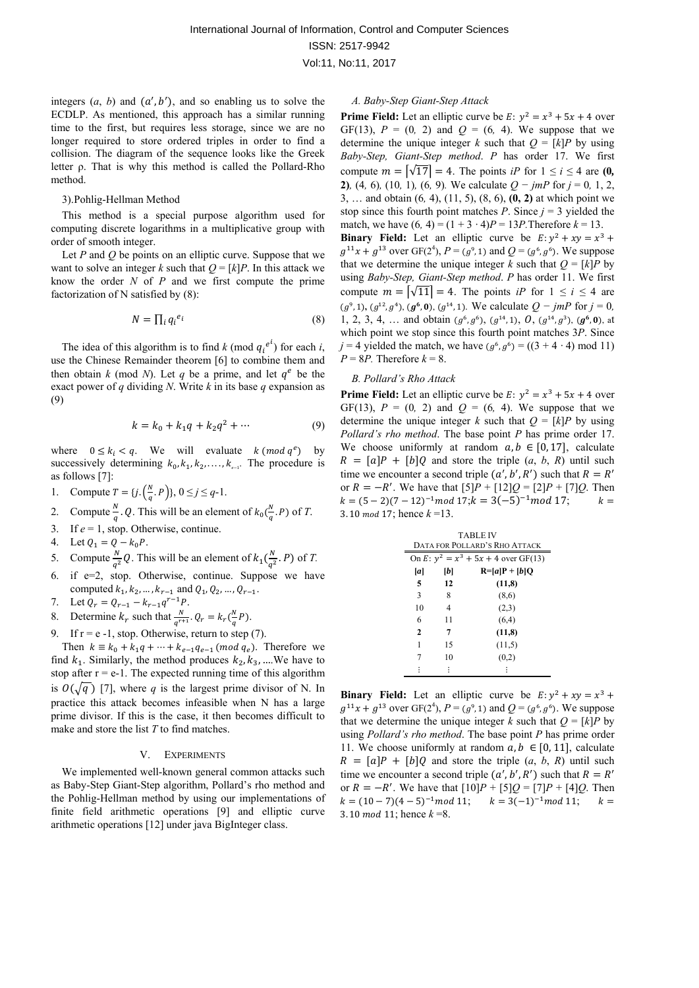integers  $(a, b)$  and  $(a', b')$ , and so enabling us to solve the ECDLP. As mentioned, this approach has a similar running time to the first, but requires less storage, since we are no longer required to store ordered triples in order to find a collision. The diagram of the sequence looks like the Greek letter ρ. That is why this method is called the Pollard-Rho method.

#### 3).Pohlig-Hellman Method

This method is a special purpose algorithm used for computing discrete logarithms in a multiplicative group with order of smooth integer.

Let *P* and *Q* be points on an elliptic curve. Suppose that we want to solve an integer *k* such that  $Q = [k]P$ . In this attack we know the order *N* of *P* and we first compute the prime factorization of N satisfied by (8):

$$
N = \prod_i q_i^{e_i} \tag{8}
$$

The idea of this algorithm is to find  $k \pmod{q_i^{e^{i}}}$  for each  $i$ , use the Chinese Remainder theorem [6] to combine them and then obtain *k* (mod *N*). Let *q* be a prime, and let  $q^e$  be the exact power of *q* dividing *N*. Write *k* in its base *q* expansion as (9)

$$
k = k_0 + k_1 q + k_2 q^2 + \dotsb \tag{9}
$$

where  $0 \le k_i < q$ . We will evaluate  $k \pmod{q^e}$  by successively determining  $k_0, k_1, k_2, \ldots, k_{\epsilon-1}$ . The procedure is as follows [7]:

1. Compute  $T = \{j \cdot \left(\frac{N}{q}, P\right)\}, 0 \le j \le q-1.$ 

2. Compute 
$$
\frac{N}{q}
$$
. Q. This will be an element of  $k_0(\frac{N}{q}, P)$  of T.

- 3. If  $e = 1$ , stop. Otherwise, continue.
- 4. Let  $Q_1 = Q k_0 P$ .
- 5. Compute  $\frac{N}{q^2}Q$ . This will be an element of  $k_1(\frac{N}{q^2}, P)$  of *T*.
- 6. if e=2, stop. Otherwise, continue. Suppose we have computed  $k_1, k_2, \ldots, k_{r-1}$  and  $Q_1, Q_2, \ldots, Q_{r-1}$ .
- 7. Let  $Q_r = Q_{r-1} k_{r-1}q^{r-1}P$ .
- 8. Determine  $k_r$  such that  $\frac{N}{q^{r+1}}$ .  $Q_r = k_r \left(\frac{N}{q}P\right)$ .
- 9. If  $r = e 1$ , stop. Otherwise, return to step (7).

Then  $k \equiv k_0 + k_1 q + \dots + k_{e-1} q_{e-1}$  (*mod*  $q_e$ ). Therefore we find  $k_1$ . Similarly, the method produces  $k_2, k_3, ...$  We have to stop after  $r = e-1$ . The expected running time of this algorithm is  $O(\sqrt{q})$  [7], where *q* is the largest prime divisor of N. In practice this attack becomes infeasible when N has a large prime divisor. If this is the case, it then becomes difficult to make and store the list *T* to find matches.

#### V. EXPERIMENTS

We implemented well-known general common attacks such as Baby-Step Giant-Step algorithm, Pollard's rho method and the Pohlig-Hellman method by using our implementations of finite field arithmetic operations [9] and elliptic curve arithmetic operations [12] under java BigInteger class.

#### *A. Baby-Step Giant-Step Attack*

**Prime Field:** Let an elliptic curve be  $E: y^2 = x^3 + 5x + 4$  over GF(13),  $P = (0, 2)$  and  $Q = (6, 4)$ . We suppose that we determine the unique integer *k* such that  $Q = [k]P$  by using *Baby-Step, Giant-Step method*. *P* has order 17. We first compute  $m = \lfloor \sqrt{17} \rfloor = 4$ . The points *iP* for  $1 \le i \le 4$  are (0, **2)***,* (4*,* 6)*,* (10*,* 1)*,* (6*,* 9)*.* We calculate *Q − jmP* for *j* = 0*,* 1, 2, 3, … and obtain (6*,* 4), (11, 5), (8, 6), **(0, 2)** at which point we stop since this fourth point matches *P*. Since  $j = 3$  yielded the match, we have  $(6, 4) = (1 + 3 \cdot 4)P = 13P$ . Therefore  $k = 13$ . **Binary Field:** Let an elliptic curve be  $E: y^2 + xy = x^3 + y^2$  $g^{11}x + g^{13}$  over GF(2<sup>4</sup>),  $P = (g^9, 1)$  and  $Q = (g^6, g^6)$ . We suppose that we determine the unique integer *k* such that  $Q = [k]P$  by using *Baby-Step, Giant-Step method*. *P* has order 11. We first compute  $m = \sqrt{11} = 4$ . The points *iP* for  $1 \le i \le 4$  are  $(g^9, 1)$ ,  $(g^{12}, g^4)$ ,  $(g^6, 0)$ ,  $(g^{14}, 1)$ . We calculate  $Q - jmP$  for  $j = 0$ , 1, 2, 3, 4, ... and obtain  $(g^6, g^6)$ ,  $(g^{14}, 1)$ ,  $\hat{O}$ ,  $(g^{14}, g^{3})$ ,  $(g^6, 0)$ , at which point we stop since this fourth point matches 3*P*. Since *j* = 4 yielded the match, we have  $(g^6, g^6) = ((3 + 4 \cdot 4) \text{ mod } 11)$  $P = 8P$ . Therefore  $k = 8$ .

### *B. Pollard's Rho Attack*

**Prime Field:** Let an elliptic curve be  $E: y^2 = x^3 + 5x + 4$  over GF(13),  $P = (0, 2)$  and  $Q = (6, 4)$ . We suppose that we determine the unique integer *k* such that  $Q = [k]P$  by using *Pollard's rho method*. The base point *P* has prime order 17. We choose uniformly at random  $a, b \in [0, 17]$ , calculate  $R = [a]P + [b]Q$  and store the triple  $(a, b, R)$  until such time we encounter a second triple  $(a', b', R')$  such that  $R = R'$ or  $R = -R'$ . We have that  $[5]P + [12]Q = [2]P + [7]Q$ . Then  $k = (5-2)(7-12)^{-1}$  mod 17;  $k = 3(-5)^{-1}$  mod 17;  $k =$ 3. 10  $mod\ 17$ ; hence  $k = 13$ .

| <b>TABLE IV</b><br>DATA FOR POLLARD'S RHO ATTACK |    |                   |  |  |
|--------------------------------------------------|----|-------------------|--|--|
| On E: $y^2 = x^3 + 5x + 4$ over GF(13)           |    |                   |  |  |
| a                                                | b  | $R = [a]P + [b]Q$ |  |  |
| 5                                                | 12 | (11,8)            |  |  |
| 3                                                | 8  | (8,6)             |  |  |
| 10                                               | 4  | (2,3)             |  |  |
| 6                                                | 11 | (6,4)             |  |  |
| $\mathbf{2}$                                     | 7  | (11.8)            |  |  |
| 1                                                | 15 | (11,5)            |  |  |
| 7                                                | 10 | (0,2)             |  |  |
|                                                  |    |                   |  |  |

**Binary Field:** Let an elliptic curve be  $E: y^2 + xy = x^3 + y^2$  $g^{11}x + g^{13}$  over GF(2<sup>4</sup>),  $P = (g^6, 1)$  and  $Q = (g^6, g^6)$ . We suppose that we determine the unique integer *k* such that  $Q = [k]P$  by using *Pollard's rho method*. The base point *P* has prime order 11. We choose uniformly at random  $a, b \in [0, 11]$ , calculate  $R = [a]P + [b]Q$  and store the triple  $(a, b, R)$  until such time we encounter a second triple  $(a', b', R')$  such that  $R = R'$ or  $R = -R'$ . We have that  $[10]P + [5]Q = [7]P + [4]Q$ . Then  $k = (10 - 7)(4 - 5)^{-1} \mod 11;$   $k = 3(-1)^{-1} \mod 11;$   $k =$ 3. 10 mod 11; hence  $k = 8$ .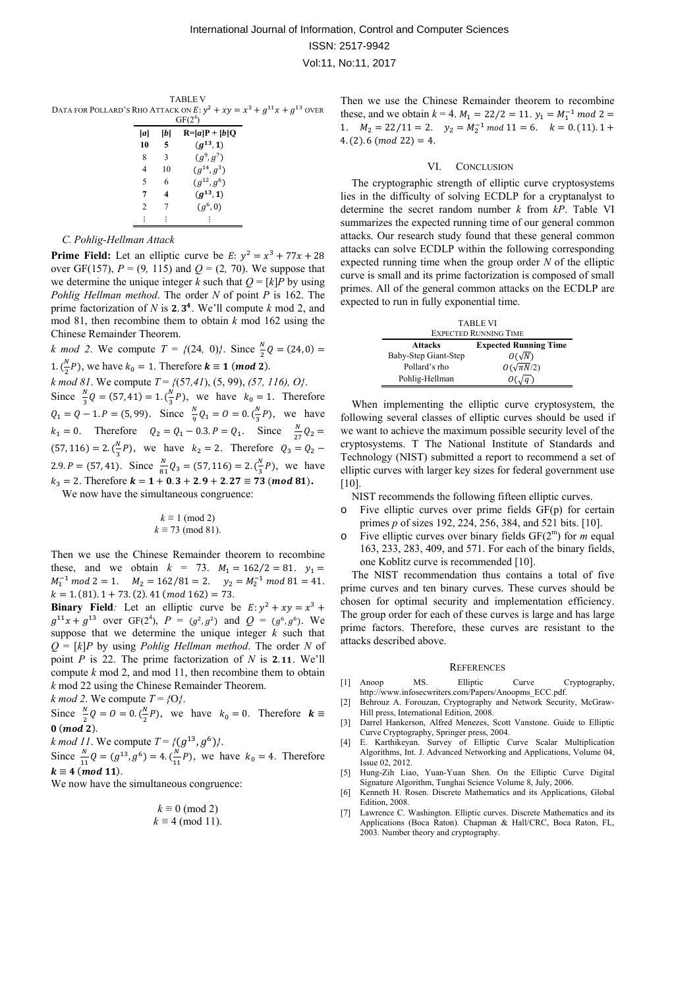TABLE V DATA FOR POLLARD'S RHO ATTACK ON  $E: y^2 + xy = x^3 + g^{11}x + g^{13}$  OVER  $GF(2^4)$ 

| $GF(2^4)$      |    |                              |
|----------------|----|------------------------------|
| [a]            | lЫ | $R = [a]P + [b]Q$            |
| 10             | 5  | $(g^{13}, 1)$                |
| 8              | 3  | $(g^9, g^7)$                 |
| 4              | 10 | $\left( q^{14}, q^3 \right)$ |
| 5              | 6  | $(g^{12}, g^6)$              |
| 7              |    | $(g^{13}, 1)$                |
| $\mathfrak{D}$ |    | $(g^6, 0)$                   |
|                |    |                              |

#### *C. Pohlig-Hellman Attack*

**Prime Field:** Let an elliptic curve be  $E: y^2 = x^3 + 77x + 28$ over GF(157),  $P = (9, 115)$  and  $Q = (2, 70)$ . We suppose that we determine the unique integer *k* such that  $Q = [k]P$  by using *Pohlig Hellman method*. The order *N* of point *P* is 162. The prime factorization of  $N$  is 2.3<sup>4</sup>. We'll compute  $k$  mod 2, and mod 81, then recombine them to obtain *k* mod 162 using the Chinese Remainder Theorem.

*k mod 2.* We compute  $T = \{(24, 0)\}\)$ . Since  $\frac{N}{2}Q = (24, 0) =$ 1.  $\left(\frac{N}{2}P\right)$ , we have  $k_0 = 1$ . Therefore  $\mathbf{k} \equiv \mathbf{1} \pmod{2}$ . *k mod 81*. We compute *T* = *{*(57*,41*), (5, 99), *(57, 116), O}*. Since  $\frac{N}{3}Q = (57, 41) = 1 \cdot (\frac{N}{3}P)$ , we have  $k_0 = 1$ . Therefore  $Q_1 = Q - 1. P = (5, 99)$ . Since  $\frac{N}{9}Q_1 = 0 = 0.(\frac{N}{3}P)$ , we have  $k_1 = 0$ . Therefore  $Q_2 = Q_1 - 0.3$ .  $P = Q_1$ . Since  $\frac{N}{27}Q_2 =$  $(57, 116) = 2 \cdot \left(\frac{N}{3}P\right)$ , we have  $k_2 = 2$ . Therefore  $Q_3 = Q_2 -$ 2.9.  $P = (57, 41)$ . Since  $\frac{N}{81}Q_3 = (57, 116) = 2 \cdot (\frac{N}{3}P)$ , we have  $k_3 = 2$ . Therefore  $k = 1 + 0.3 + 2.9 + 2.27 \equiv 73 \pmod{81}$ .

We now have the simultaneous congruence:

$$
k \equiv 1 \pmod{2}
$$
  

$$
k \equiv 73 \pmod{81}.
$$

Then we use the Chinese Remainder theorem to recombine these, and we obtain  $k = 73$ .  $M_1 = 162/2 = 81$ .  $y_1 =$  $M_1^{-1}$  mod 2 = 1.  $M_2 = 162/81 = 2$ .  $y_2 = M_2^{-1}$  mod 81 = 41.  $k = 1. (81) \cdot 1 + 73. (2) \cdot 41 \ (mod \ 162) = 73.$ 

**Binary Field**: Let an elliptic curve be  $E: y^2 + xy = x^3 + y^2$  $g^{11}x + g^{13}$  over GF(2<sup>4</sup>),  $P = (g^2, g^2)$  and  $Q = (g^6, g^6)$ . We suppose that we determine the unique integer *k* such that *Q* = [*k*]*P* by using *Pohlig Hellman method*. The order *N* of point  $P$  is 22. The prime factorization of  $N$  is 2.11. We'll compute *k* mod 2, and mod 11, then recombine them to obtain *k* mod 22 using the Chinese Remainder Theorem.

$$
k \mod 2
$$
. We compute  $T = \{O\}$ .

Since  $\frac{N}{2}Q = 0 = 0 \cdot (\frac{N}{2}P)$ , we have  $k_0 = 0$ . Therefore  $\mathbf{k} \equiv$  $0 \ (mod\ 2).$ 

*k* mod 11. We compute  $T = \{(g^{13}, g^6)\}.$ 

Since  $\frac{N}{11}Q = (g^{13}, g^6) = 4 \cdot (\frac{N}{11}P)$ , we have  $k_0 = 4$ . Therefore  $k \equiv 4 \pmod{11}$ .

We now have the simultaneous congruence:

$$
k \equiv 0 \pmod{2}
$$
  

$$
k \equiv 4 \pmod{11}.
$$

Then we use the Chinese Remainder theorem to recombine these, and we obtain  $k = 4$ .  $M_1 = 22/2 = 11$ .  $y_1 = M_1^{-1}$  mod 2 = 1.  $M_2 = 22/11 = 2$ .  $y_2 = M_2^{-1} \mod 11 = 6$ .  $k = 0. (11).1 +$  $4. (2). 6 (mod 22) = 4.$ 

#### VI. CONCLUSION

The cryptographic strength of elliptic curve cryptosystems lies in the difficulty of solving ECDLP for a cryptanalyst to determine the secret random number *k* from *kP*. Table VI summarizes the expected running time of our general common attacks. Our research study found that these general common attacks can solve ECDLP within the following corresponding expected running time when the group order *N* of the elliptic curve is small and its prime factorization is composed of small primes. All of the general common attacks on the ECDLP are expected to run in fully exponential time.

| <b>TABLE VI</b><br><b>EXPECTED RUNNING TIME</b> |                     |  |  |
|-------------------------------------------------|---------------------|--|--|
| <b>Expected Running Time</b><br><b>Attacks</b>  |                     |  |  |
| Baby-Step Giant-Step                            | $O(\sqrt{N})$       |  |  |
| Pollard's rho                                   | $O(\sqrt{\pi N}/2)$ |  |  |
| Pohlig-Hellman                                  |                     |  |  |

When implementing the elliptic curve cryptosystem, the following several classes of elliptic curves should be used if we want to achieve the maximum possible security level of the cryptosystems. T The National Institute of Standards and Technology (NIST) submitted a report to recommend a set of elliptic curves with larger key sizes for federal government use [10].

NIST recommends the following fifteen elliptic curves.

- $\circ$  Five elliptic curves over prime fields GF(p) for certain primes *p* of sizes 192, 224, 256, 384, and 521 bits. [10].
- o Five elliptic curves over binary fields GF(2m) for *m* equal 163, 233, 283, 409, and 571. For each of the binary fields, one Koblitz curve is recommended [10].

The NIST recommendation thus contains a total of five prime curves and ten binary curves. These curves should be chosen for optimal security and implementation efficiency. The group order for each of these curves is large and has large prime factors. Therefore, these curves are resistant to the attacks described above.

#### **REFERENCES**

- [1] Anoop MS. Elliptic Curve Cryptography, http://www.infosecwriters.com/Papers/Anoopms\_ECC.pdf.
- [2] Behrouz A. Forouzan, Cryptography and Network Security, McGraw-Hill press, International Edition, 2008.
- [3] Darrel Hankerson, Alfred Menezes, Scott Vanstone. Guide to Elliptic Curve Cryptography, Springer press, 2004.
- [4] E. Karthikeyan. Survey of Elliptic Curve Scalar Multiplication Algorithms, Int. J. Advanced Networking and Applications, Volume 04, Issue 02, 2012.
- [5] Hung-Zih Liao, Yuan-Yuan Shen. On the Elliptic Curve Digital Signature Algorithm, Tunghai Science Volume 8, July, 2006.
- [6] Kenneth H. Rosen. Discrete Mathematics and its Applications, Global Edition, 2008.
- [7] Lawrence C. Washington. Elliptic curves. Discrete Mathematics and its Applications (Boca Raton). Chapman & Hall/CRC, Boca Raton, FL, 2003. Number theory and cryptography.